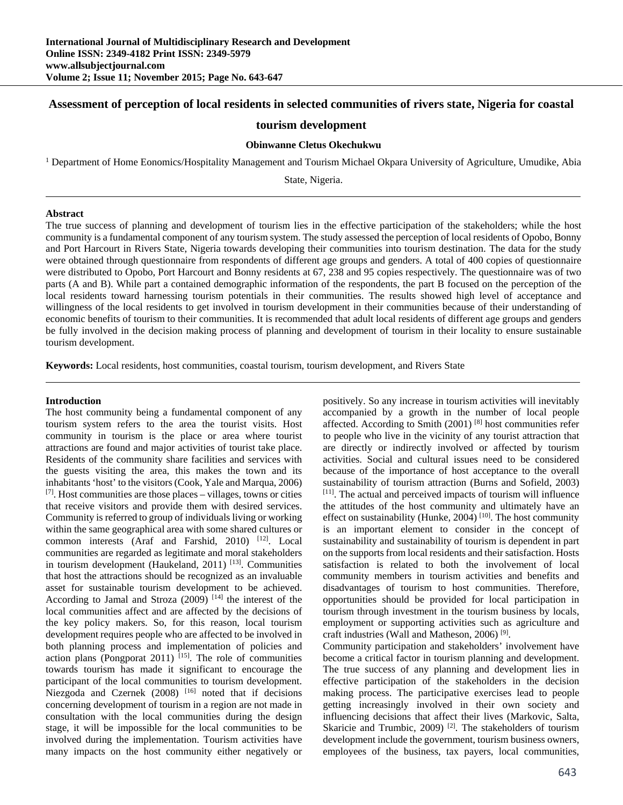# **Assessment of perception of local residents in selected communities of rivers state, Nigeria for coastal**

# **tourism development**

### **Obinwanne Cletus Okechukwu**

<sup>1</sup> Department of Home Eonomics/Hospitality Management and Tourism Michael Okpara University of Agriculture, Umudike, Abia

State, Nigeria.

#### **Abstract**

The true success of planning and development of tourism lies in the effective participation of the stakeholders; while the host community is a fundamental component of any tourism system. The study assessed the perception of local residents of Opobo, Bonny and Port Harcourt in Rivers State, Nigeria towards developing their communities into tourism destination. The data for the study were obtained through questionnaire from respondents of different age groups and genders. A total of 400 copies of questionnaire were distributed to Opobo, Port Harcourt and Bonny residents at 67, 238 and 95 copies respectively. The questionnaire was of two parts (A and B). While part a contained demographic information of the respondents, the part B focused on the perception of the local residents toward harnessing tourism potentials in their communities. The results showed high level of acceptance and willingness of the local residents to get involved in tourism development in their communities because of their understanding of economic benefits of tourism to their communities. It is recommended that adult local residents of different age groups and genders be fully involved in the decision making process of planning and development of tourism in their locality to ensure sustainable tourism development.

**Keywords:** Local residents, host communities, coastal tourism, tourism development, and Rivers State

#### **Introduction**

The host community being a fundamental component of any tourism system refers to the area the tourist visits. Host community in tourism is the place or area where tourist attractions are found and major activities of tourist take place. Residents of the community share facilities and services with the guests visiting the area, this makes the town and its inhabitants 'host' to the visitors (Cook, Yale and Marqua, 2006)  $[7]$ . Host communities are those places – villages, towns or cities that receive visitors and provide them with desired services. Community is referred to group of individuals living or working within the same geographical area with some shared cultures or common interests (Araf and Farshid, 2010) <sup>[12]</sup>. Local communities are regarded as legitimate and moral stakeholders in tourism development (Haukeland, 2011)<sup>[13]</sup>. Communities that host the attractions should be recognized as an invaluable asset for sustainable tourism development to be achieved. According to Jamal and Stroza  $(2009)$ <sup>[14]</sup> the interest of the local communities affect and are affected by the decisions of the key policy makers. So, for this reason, local tourism development requires people who are affected to be involved in both planning process and implementation of policies and action plans (Pongporat 2011)  $[15]$ . The role of communities towards tourism has made it significant to encourage the participant of the local communities to tourism development. Niezgoda and Czernek (2008) <sup>[16]</sup> noted that if decisions concerning development of tourism in a region are not made in consultation with the local communities during the design stage, it will be impossible for the local communities to be involved during the implementation. Tourism activities have many impacts on the host community either negatively or

positively. So any increase in tourism activities will inevitably accompanied by a growth in the number of local people affected. According to Smith (2001) [8] host communities refer to people who live in the vicinity of any tourist attraction that are directly or indirectly involved or affected by tourism activities. Social and cultural issues need to be considered because of the importance of host acceptance to the overall sustainability of tourism attraction (Burns and Sofield, 2003) [11]. The actual and perceived impacts of tourism will influence the attitudes of the host community and ultimately have an effect on sustainability (Hunke,  $2004$ )<sup>[10]</sup>. The host community is an important element to consider in the concept of sustainability and sustainability of tourism is dependent in part on the supports from local residents and their satisfaction. Hosts satisfaction is related to both the involvement of local community members in tourism activities and benefits and disadvantages of tourism to host communities. Therefore, opportunities should be provided for local participation in tourism through investment in the tourism business by locals, employment or supporting activities such as agriculture and craft industries (Wall and Matheson, 2006) [9].

Community participation and stakeholders' involvement have become a critical factor in tourism planning and development. The true success of any planning and development lies in effective participation of the stakeholders in the decision making process. The participative exercises lead to people getting increasingly involved in their own society and influencing decisions that affect their lives (Markovic, Salta, Skaricie and Trumbic,  $2009$ <sup>[2]</sup>. The stakeholders of tourism development include the government, tourism business owners, employees of the business, tax payers, local communities,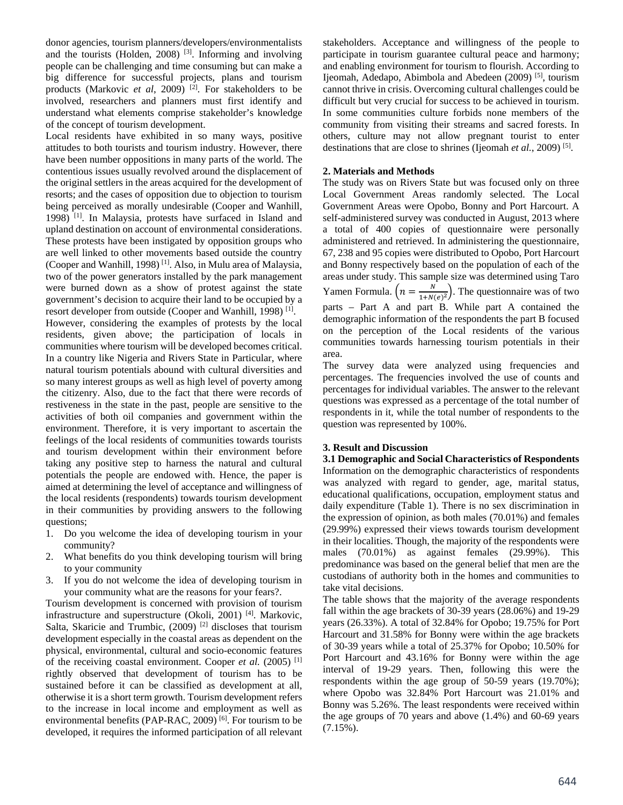donor agencies, tourism planners/developers/environmentalists and the tourists (Holden, 2008)  $[3]$ . Informing and involving people can be challenging and time consuming but can make a big difference for successful projects, plans and tourism products (Markovic *et al*, 2009)<sup>[2]</sup>. For stakeholders to be involved, researchers and planners must first identify and understand what elements comprise stakeholder's knowledge of the concept of tourism development.

Local residents have exhibited in so many ways, positive attitudes to both tourists and tourism industry. However, there have been number oppositions in many parts of the world. The contentious issues usually revolved around the displacement of the original settlers in the areas acquired for the development of resorts; and the cases of opposition due to objection to tourism being perceived as morally undesirable (Cooper and Wanhill, 1998) [1]. In Malaysia, protests have surfaced in Island and upland destination on account of environmental considerations. These protests have been instigated by opposition groups who are well linked to other movements based outside the country (Cooper and Wanhill, 1998) [1]. Also, in Mulu area of Malaysia, two of the power generators installed by the park management were burned down as a show of protest against the state government's decision to acquire their land to be occupied by a resort developer from outside (Cooper and Wanhill, 1998)<sup>[1]</sup>.

However, considering the examples of protests by the local residents, given above; the participation of locals in communities where tourism will be developed becomes critical. In a country like Nigeria and Rivers State in Particular, where natural tourism potentials abound with cultural diversities and so many interest groups as well as high level of poverty among the citizenry. Also, due to the fact that there were records of restiveness in the state in the past, people are sensitive to the activities of both oil companies and government within the environment. Therefore, it is very important to ascertain the feelings of the local residents of communities towards tourists and tourism development within their environment before taking any positive step to harness the natural and cultural potentials the people are endowed with. Hence, the paper is aimed at determining the level of acceptance and willingness of the local residents (respondents) towards tourism development in their communities by providing answers to the following questions;

- 1. Do you welcome the idea of developing tourism in your community?
- 2. What benefits do you think developing tourism will bring to your community
- 3. If you do not welcome the idea of developing tourism in your community what are the reasons for your fears?.

Tourism development is concerned with provision of tourism infrastructure and superstructure (Okoli, 2001) [4]. Markovic, Salta, Skaricie and Trumbic,  $(2009)$ <sup>[2]</sup> discloses that tourism development especially in the coastal areas as dependent on the physical, environmental, cultural and socio-economic features of the receiving coastal environment. Cooper *et al.* (2005)<sup>[1]</sup> rightly observed that development of tourism has to be sustained before it can be classified as development at all, otherwise it is a short term growth. Tourism development refers to the increase in local income and employment as well as environmental benefits (PAP-RAC, 2009)<sup>[6]</sup>. For tourism to be developed, it requires the informed participation of all relevant

stakeholders. Acceptance and willingness of the people to participate in tourism guarantee cultural peace and harmony; and enabling environment for tourism to flourish. According to Ijeomah, Adedapo, Abimbola and Abedeen (2009) [5], tourism cannot thrive in crisis. Overcoming cultural challenges could be difficult but very crucial for success to be achieved in tourism. In some communities culture forbids none members of the community from visiting their streams and sacred forests. In others, culture may not allow pregnant tourist to enter destinations that are close to shrines (Ijeomah *et al.*, 2009) [5].

#### **2. Materials and Methods**

The study was on Rivers State but was focused only on three Local Government Areas randomly selected. The Local Government Areas were Opobo, Bonny and Port Harcourt. A self-administered survey was conducted in August, 2013 where a total of 400 copies of questionnaire were personally administered and retrieved. In administering the questionnaire, 67, 238 and 95 copies were distributed to Opobo, Port Harcourt and Bonny respectively based on the population of each of the areas under study. This sample size was determined using Taro Yamen Formula.  $\left(n = \frac{N}{1 + N(e)^2}\right)$ . The questionnaire was of two parts – Part A and part B. While part A contained the demographic information of the respondents the part B focused on the perception of the Local residents of the various communities towards harnessing tourism potentials in their area.

The survey data were analyzed using frequencies and percentages. The frequencies involved the use of counts and percentages for individual variables. The answer to the relevant questions was expressed as a percentage of the total number of respondents in it, while the total number of respondents to the question was represented by 100%.

### **3. Result and Discussion**

**3.1 Demographic and Social Characteristics of Respondents**  Information on the demographic characteristics of respondents was analyzed with regard to gender, age, marital status, educational qualifications, occupation, employment status and daily expenditure (Table 1). There is no sex discrimination in the expression of opinion, as both males (70.01%) and females (29.99%) expressed their views towards tourism development in their localities. Though, the majority of the respondents were males (70.01%) as against females (29.99%). This predominance was based on the general belief that men are the custodians of authority both in the homes and communities to take vital decisions.

The table shows that the majority of the average respondents fall within the age brackets of 30-39 years (28.06%) and 19-29 years (26.33%). A total of 32.84% for Opobo; 19.75% for Port Harcourt and 31.58% for Bonny were within the age brackets of 30-39 years while a total of 25.37% for Opobo; 10.50% for Port Harcourt and 43.16% for Bonny were within the age interval of 19-29 years. Then, following this were the respondents within the age group of 50-59 years (19.70%); where Opobo was 32.84% Port Harcourt was 21.01% and Bonny was 5.26%. The least respondents were received within the age groups of 70 years and above (1.4%) and 60-69 years  $(7.15\%)$ .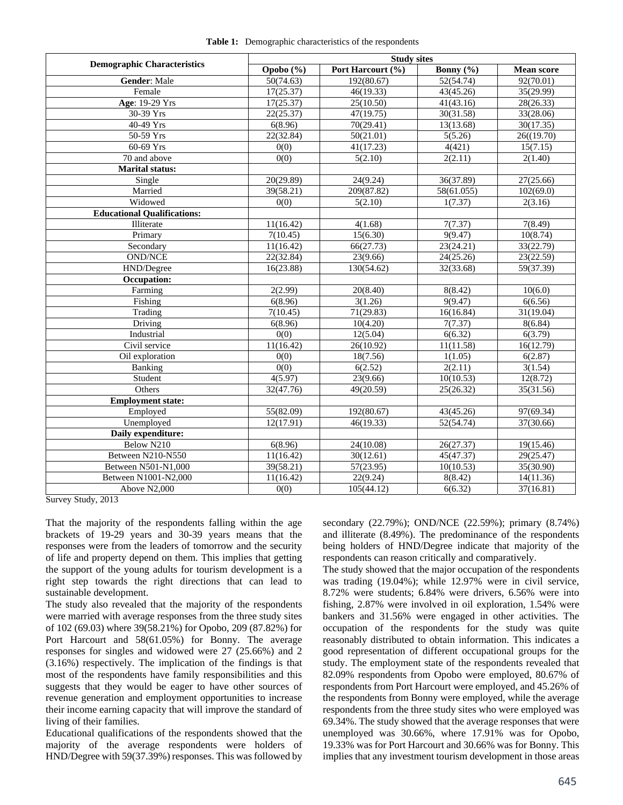|  |  | Table 1: Demographic characteristics of the respondents |  |  |
|--|--|---------------------------------------------------------|--|--|
|--|--|---------------------------------------------------------|--|--|

|                                    | <b>Study sites</b> |                        |                       |                   |  |  |
|------------------------------------|--------------------|------------------------|-----------------------|-------------------|--|--|
| <b>Demographic Characteristics</b> | Opobo (%)          | Port Harcourt (%)      | Bonny $(\frac{6}{6})$ | <b>Mean score</b> |  |  |
| <b>Gender: Male</b>                | 50(74.63)          | 192(80.67)             | 52(54.74)             | 92(70.01)         |  |  |
| Female                             | 17(25.37)          | 46(19.33)              | 43(45.26)             | 35(29.99)         |  |  |
| Age: 19-29 Yrs                     | 17(25.37)          | 25(10.50)              | 41(43.16)             | 28(26.33)         |  |  |
| 30-39 Yrs                          | 22(25.37)          | 47(19.75)              | 30(31.58)             | 33(28.06)         |  |  |
| 40-49 Yrs                          | 6(8.96)            | 70(29.41)              | 13(13.68)             | 30(17.35)         |  |  |
| 50-59 Yrs                          | 22(32.84)          | 50(21.01)              | 5(5.26)               | 26((19.70)        |  |  |
| $60-69$ Yrs                        | 0(0)               | 41(17.23)              | 4(421)                | 15(7.15)          |  |  |
| 70 and above                       | 0(0)               | 5(2.10)                | 2(2.11)               | 2(1.40)           |  |  |
| <b>Marital status:</b>             |                    |                        |                       |                   |  |  |
| $\overline{\text{Single}}$         | 20(29.89)          | 24(9.24)               | 36(37.89)             | 27(25.66)         |  |  |
| Married                            | 39(58.21)          | 209(87.82)             | 58(61.055)            | 102(69.0)         |  |  |
| Widowed                            | 0(0)               | 5(2.10)                | 1(7.37)               | 2(3.16)           |  |  |
| <b>Educational Qualifications:</b> |                    |                        |                       |                   |  |  |
| Illiterate                         | 11(16.42)          | 4(1.68)                | $\overline{7}(7.37)$  | 7(8.49)           |  |  |
| Primary                            | 7(10.45)           | 15(6.30)               | 9(9.47)               | 10(8.74)          |  |  |
| Secondary                          | 11(16.42)          | 66(27.73)              | 23(24.21)             | 33(22.79)         |  |  |
| <b>OND/NCE</b>                     | 22(32.84)          | 23(9.66)               | 24(25.26)             | 23(22.59)         |  |  |
| HND/Degree                         | 16(23.88)          | 130(54.62)             | 32(33.68)             | 59(37.39)         |  |  |
| Occupation:                        |                    |                        |                       |                   |  |  |
| Farming                            | 2(2.99)            | 20(8.40)               | 8(8.42)               | 10(6.0)           |  |  |
| Fishing                            | 6(8.96)            | 3(1.26)                | 9(9.47)               | 6(6.56)           |  |  |
| Trading                            | 7(10.45)           | 71(29.83)              | 16(16.84)             | 31(19.04)         |  |  |
| Driving                            | 6(8.96)            | 10(4.20)               | 7(7.37)               | 8(6.84)           |  |  |
| Industrial                         | 0(0)               | 12(5.04)<br>6(6.32)    |                       | 6(3.79)           |  |  |
| Civil service                      | 11(16.42)          | 26(10.92)              | 11(11.58)             | 16(12.79)         |  |  |
| Oil exploration                    | $\overline{0(0)}$  | 18(7.56)               | 1(1.05)               | 6(2.87)           |  |  |
| Banking                            | 0(0)               | 6(2.52)<br>2(2.11)     |                       | 3(1.54)           |  |  |
| Student                            | 4(5.97)            | 23(9.66)<br>10(10.53)  |                       | 12(8.72)          |  |  |
| Others                             | 32(47.76)          | 49(20.59)              | 25(26.32)             | 35(31.56)         |  |  |
| Employment state:                  |                    |                        |                       |                   |  |  |
| Employed                           | 55(82.09)          | 192(80.67)             | 43(45.26)             | 97(69.34)         |  |  |
| Unemployed                         | 12(17.91)          | 46(19.33)              | 52(54.74)             | 37(30.66)         |  |  |
| Daily expenditure:                 |                    |                        |                       |                   |  |  |
| Below N210                         | 6(8.96)            | 24(10.08)<br>26(27.37) |                       | 19(15.46)         |  |  |
| Between N210-N550                  | 11(16.42)          | 30(12.61)              | 45(47.37)             | 29(25.47)         |  |  |
| Between N501-N1,000                | 39(58.21)          | 57(23.95)              | 10(10.53)             | 35(30.90)         |  |  |
| Between N1001-N2,000               | 11(16.42)          | 22(9.24)<br>8(8.42)    |                       | 14(11.36)         |  |  |
| Above N2,000                       | $\overline{0(0)}$  | 105(44.12)             | 6(6.32)               | 37(16.81)         |  |  |

Survey Study, 2013

That the majority of the respondents falling within the age brackets of 19-29 years and 30-39 years means that the responses were from the leaders of tomorrow and the security of life and property depend on them. This implies that getting the support of the young adults for tourism development is a right step towards the right directions that can lead to sustainable development.

The study also revealed that the majority of the respondents were married with average responses from the three study sites of 102 (69.03) where 39(58.21%) for Opobo, 209 (87.82%) for Port Harcourt and 58(61.05%) for Bonny. The average responses for singles and widowed were 27 (25.66%) and 2 (3.16%) respectively. The implication of the findings is that most of the respondents have family responsibilities and this suggests that they would be eager to have other sources of revenue generation and employment opportunities to increase their income earning capacity that will improve the standard of living of their families.

Educational qualifications of the respondents showed that the majority of the average respondents were holders of HND/Degree with 59(37.39%) responses. This was followed by secondary (22.79%); OND/NCE (22.59%); primary (8.74%) and illiterate (8.49%). The predominance of the respondents being holders of HND/Degree indicate that majority of the respondents can reason critically and comparatively.

The study showed that the major occupation of the respondents was trading (19.04%); while 12.97% were in civil service, 8.72% were students; 6.84% were drivers, 6.56% were into fishing, 2.87% were involved in oil exploration, 1.54% were bankers and 31.56% were engaged in other activities. The occupation of the respondents for the study was quite reasonably distributed to obtain information. This indicates a good representation of different occupational groups for the study. The employment state of the respondents revealed that 82.09% respondents from Opobo were employed, 80.67% of respondents from Port Harcourt were employed, and 45.26% of the respondents from Bonny were employed, while the average respondents from the three study sites who were employed was 69.34%. The study showed that the average responses that were unemployed was 30.66%, where 17.91% was for Opobo, 19.33% was for Port Harcourt and 30.66% was for Bonny. This implies that any investment tourism development in those areas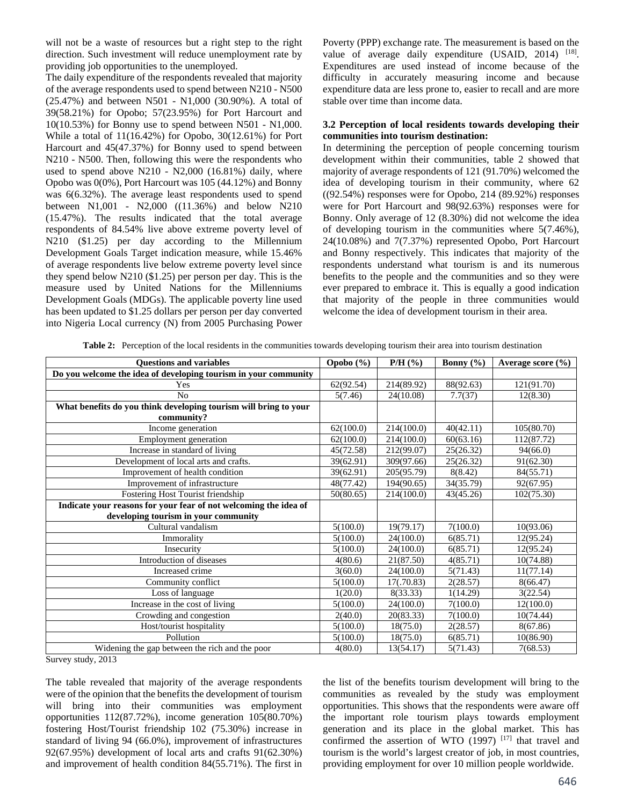will not be a waste of resources but a right step to the right direction. Such investment will reduce unemployment rate by providing job opportunities to the unemployed.

The daily expenditure of the respondents revealed that majority of the average respondents used to spend between N210 - N500 (25.47%) and between N501 - N1,000 (30.90%). A total of 39(58.21%) for Opobo; 57(23.95%) for Port Harcourt and 10(10.53%) for Bonny use to spend between N501 - N1,000. While a total of 11(16.42%) for Opobo, 30(12.61%) for Port Harcourt and 45(47.37%) for Bonny used to spend between N210 - N500. Then, following this were the respondents who used to spend above N210 - N2,000 (16.81%) daily, where Opobo was 0(0%), Port Harcourt was 105 (44.12%) and Bonny was 6(6.32%). The average least respondents used to spend between N1,001 - N2,000 ((11.36%) and below N210 (15.47%). The results indicated that the total average respondents of 84.54% live above extreme poverty level of N210 (\$1.25) per day according to the Millennium Development Goals Target indication measure, while 15.46% of average respondents live below extreme poverty level since they spend below N210 (\$1.25) per person per day. This is the measure used by United Nations for the Millenniums Development Goals (MDGs). The applicable poverty line used has been updated to \$1.25 dollars per person per day converted into Nigeria Local currency (N) from 2005 Purchasing Power

Poverty (PPP) exchange rate. The measurement is based on the value of average daily expenditure (USAID, 2014) [18]. Expenditures are used instead of income because of the difficulty in accurately measuring income and because expenditure data are less prone to, easier to recall and are more stable over time than income data.

## **3.2 Perception of local residents towards developing their communities into tourism destination:**

In determining the perception of people concerning tourism development within their communities, table 2 showed that majority of average respondents of 121 (91.70%) welcomed the idea of developing tourism in their community, where 62 ((92.54%) responses were for Opobo, 214 (89.92%) responses were for Port Harcourt and 98(92.63%) responses were for Bonny. Only average of 12 (8.30%) did not welcome the idea of developing tourism in the communities where 5(7.46%), 24(10.08%) and 7(7.37%) represented Opobo, Port Harcourt and Bonny respectively. This indicates that majority of the respondents understand what tourism is and its numerous benefits to the people and the communities and so they were ever prepared to embrace it. This is equally a good indication that majority of the people in three communities would welcome the idea of development tourism in their area.

| <b>Questions and variables</b>                                                                           | Opobo (%) | $P/H$ $(\% )$ | Bonny $(\% )$ | Average score $(\% )$ |
|----------------------------------------------------------------------------------------------------------|-----------|---------------|---------------|-----------------------|
| Do you welcome the idea of developing tourism in your community                                          |           |               |               |                       |
| Yes                                                                                                      | 62(92.54) | 214(89.92)    | 88(92.63)     | 121(91.70)            |
| N <sub>o</sub>                                                                                           | 5(7.46)   | 24(10.08)     | 7.7(37)       | 12(8.30)              |
| What benefits do you think developing tourism will bring to your<br>community?                           |           |               |               |                       |
| Income generation                                                                                        | 62(100.0) | 214(100.0)    | 40(42.11)     | 105(80.70)            |
| Employment generation                                                                                    | 62(100.0) | 214(100.0)    | 60(63.16)     | 112(87.72)            |
| Increase in standard of living                                                                           | 45(72.58) | 212(99.07)    | 25(26.32)     | 94(66.0)              |
| Development of local arts and crafts.                                                                    | 39(62.91) | 309(97.66)    | 25(26.32)     | 91(62.30)             |
| Improvement of health condition                                                                          | 39(62.91) | 205(95.79)    | 8(8.42)       | 84(55.71)             |
| Improvement of infrastructure                                                                            | 48(77.42) | 194(90.65)    | 34(35.79)     | 92(67.95)             |
| Fostering Host Tourist friendship                                                                        | 50(80.65) | 214(100.0)    | 43(45.26)     | 102(75.30)            |
| Indicate your reasons for your fear of not welcoming the idea of<br>developing tourism in your community |           |               |               |                       |
| Cultural vandalism                                                                                       | 5(100.0)  | 19(79.17)     | 7(100.0)      | 10(93.06)             |
| Immorality                                                                                               | 5(100.0)  | 24(100.0)     | 6(85.71)      | 12(95.24)             |
| Insecurity                                                                                               | 5(100.0)  | 24(100.0)     | 6(85.71)      | 12(95.24)             |
| Introduction of diseases                                                                                 | 4(80.6)   | 21(87.50)     | 4(85.71)      | 10(74.88)             |
| Increased crime                                                                                          | 3(60.0)   | 24(100.0)     | 5(71.43)      | 11(77.14)             |
| Community conflict                                                                                       | 5(100.0)  | 17(.70.83)    | 2(28.57)      | 8(66.47)              |
| Loss of language                                                                                         | 1(20.0)   | 8(33.33)      | 1(14.29)      | 3(22.54)              |
| Increase in the cost of living                                                                           | 5(100.0)  | 24(100.0)     | 7(100.0)      | 12(100.0)             |

Crowding and congestion 2(40.0) 20(83.33) 7(100.0) 10(74.44) Host/tourist hospitality 5(100.0) 18(75.0) 2(28.57) 8(67.86) Pollution 10(86.90) 18(75.0) 6(85.71) 10(86.90)

Widening the gap between the rich and the poor  $4(80.0)$   $13(54.17)$   $5(71.43)$   $7(68.53)$ 

Table 2: Perception of the local residents in the communities towards developing tourism their area into tourism destination

Survey study, 2013

The table revealed that majority of the average respondents were of the opinion that the benefits the development of tourism will bring into their communities was employment opportunities 112(87.72%), income generation 105(80.70%) fostering Host/Tourist friendship 102 (75.30%) increase in standard of living 94 (66.0%), improvement of infrastructures 92(67.95%) development of local arts and crafts 91(62.30%) and improvement of health condition 84(55.71%). The first in

the list of the benefits tourism development will bring to the communities as revealed by the study was employment opportunities. This shows that the respondents were aware off the important role tourism plays towards employment generation and its place in the global market. This has confirmed the assertion of WTO  $(1997)$   $[17]$  that travel and tourism is the world's largest creator of job, in most countries, providing employment for over 10 million people worldwide.